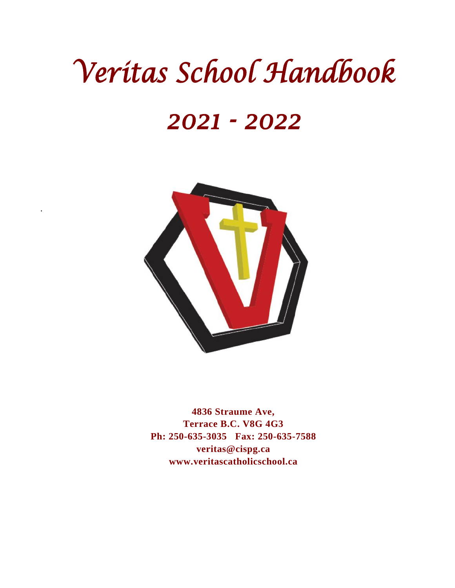# *Veritas School Handbook*

# *2021 - 2022*



.

**4836 Straume Ave, Terrace B.C. V8G 4G3 Ph: 250-635-3035 Fax: 250-635-7588 veritas@cispg.ca www.veritascatholicschool.ca**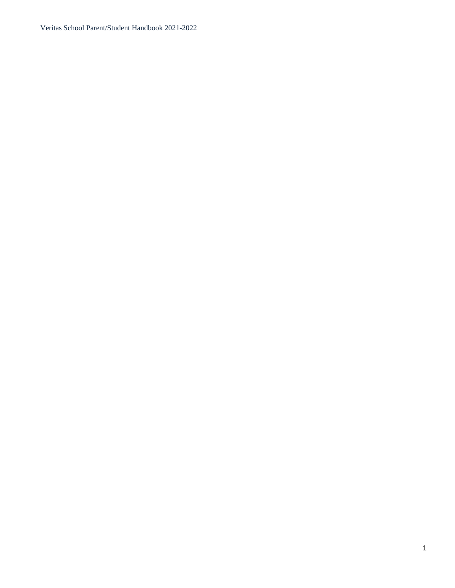Veritas School Parent/Student Handbook 2021-2022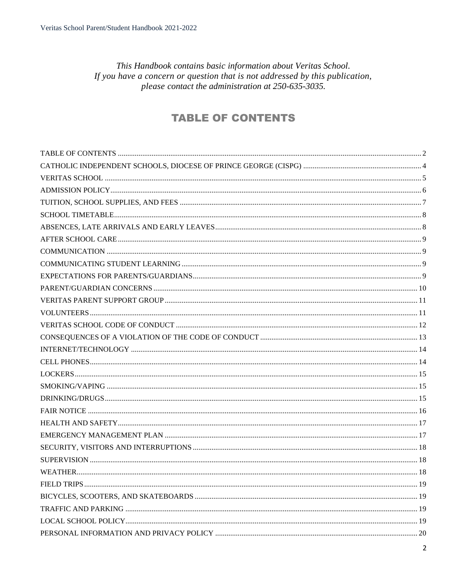This Handbook contains basic information about Veritas School. If you have a concern or question that is not addressed by this publication, please contact the administration at 250-635-3035.

# **TABLE OF CONTENTS**

<span id="page-2-0"></span>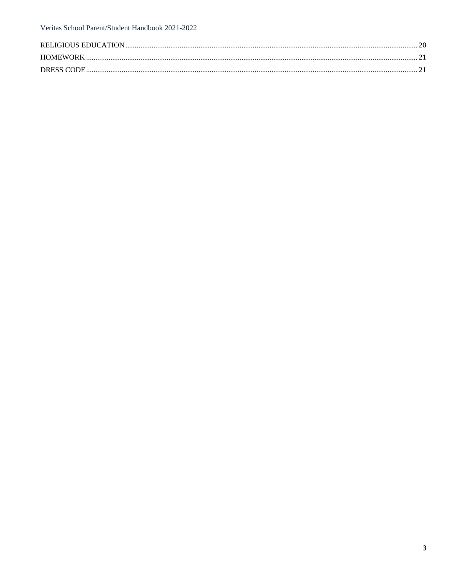| <b>HOMEWORK</b> |  |
|-----------------|--|
| DRESS CODE      |  |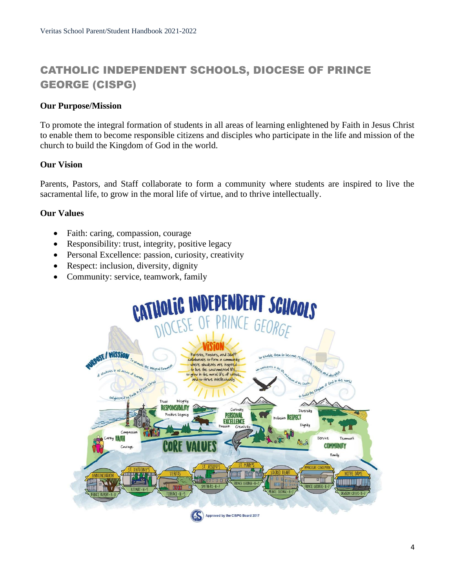# <span id="page-4-0"></span>CATHOLIC INDEPENDENT SCHOOLS, DIOCESE OF PRINCE GEORGE (CISPG)

#### **Our Purpose/Mission**

To promote the integral formation of students in all areas of learning enlightened by Faith in Jesus Christ to enable them to become responsible citizens and disciples who participate in the life and mission of the church to build the Kingdom of God in the world.

#### **Our Vision**

Parents, Pastors, and Staff collaborate to form a community where students are inspired to live the sacramental life, to grow in the moral life of virtue, and to thrive intellectually.

#### **Our Values**

- Faith: caring, compassion, courage
- Responsibility: trust, integrity, positive legacy
- Personal Excellence: passion, curiosity, creativity
- Respect: inclusion, diversity, dignity
- Community: service, teamwork, family

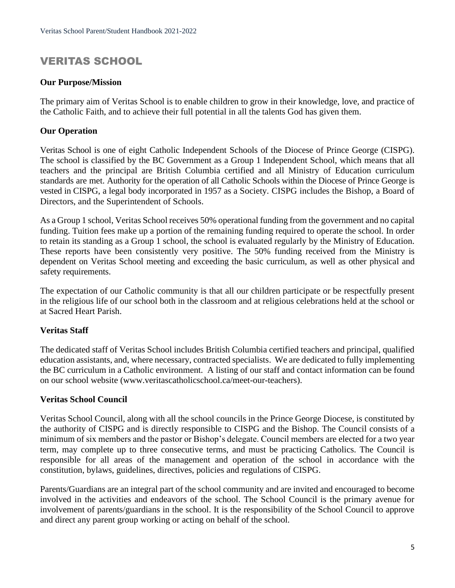# <span id="page-5-0"></span>VERITAS SCHOOL

#### **Our Purpose/Mission**

The primary aim of Veritas School is to enable children to grow in their knowledge, love, and practice of the Catholic Faith, and to achieve their full potential in all the talents God has given them.

#### **Our Operation**

Veritas School is one of eight Catholic Independent Schools of the Diocese of Prince George (CISPG). The school is classified by the BC Government as a Group 1 Independent School, which means that all teachers and the principal are British Columbia certified and all Ministry of Education curriculum standards are met. Authority for the operation of all Catholic Schools within the Diocese of Prince George is vested in CISPG, a legal body incorporated in 1957 as a Society. CISPG includes the Bishop, a Board of Directors, and the Superintendent of Schools.

As a Group 1 school, Veritas School receives 50% operational funding from the government and no capital funding. Tuition fees make up a portion of the remaining funding required to operate the school. In order to retain its standing as a Group 1 school, the school is evaluated regularly by the Ministry of Education. These reports have been consistently very positive. The 50% funding received from the Ministry is dependent on Veritas School meeting and exceeding the basic curriculum, as well as other physical and safety requirements.

The expectation of our Catholic community is that all our children participate or be respectfully present in the religious life of our school both in the classroom and at religious celebrations held at the school or at Sacred Heart Parish.

#### **Veritas Staff**

The dedicated staff of Veritas School includes British Columbia certified teachers and principal, qualified education assistants, and, where necessary, contracted specialists. We are dedicated to fully implementing the BC curriculum in a Catholic environment. A listing of our staff and contact information can be found on our school website (www.veritascatholicschool.ca/meet-our-teachers).

#### **Veritas School Council**

Veritas School Council, along with all the school councils in the Prince George Diocese, is constituted by the authority of CISPG and is directly responsible to CISPG and the Bishop. The Council consists of a minimum of six members and the pastor or Bishop's delegate. Council members are elected for a two year term, may complete up to three consecutive terms, and must be practicing Catholics. The Council is responsible for all areas of the management and operation of the school in accordance with the constitution, bylaws, guidelines, directives, policies and regulations of CISPG.

Parents/Guardians are an integral part of the school community and are invited and encouraged to become involved in the activities and endeavors of the school. The School Council is the primary avenue for involvement of parents/guardians in the school. It is the responsibility of the School Council to approve and direct any parent group working or acting on behalf of the school.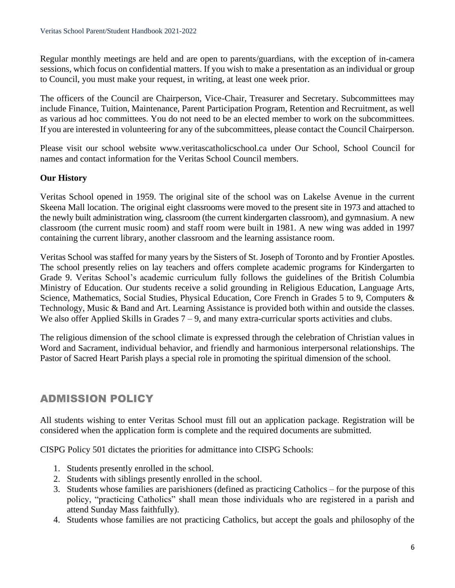Regular monthly meetings are held and are open to parents/guardians, with the exception of in-camera sessions, which focus on confidential matters. If you wish to make a presentation as an individual or group to Council, you must make your request, in writing, at least one week prior.

The officers of the Council are Chairperson, Vice-Chair, Treasurer and Secretary. Subcommittees may include Finance, Tuition, Maintenance, Parent Participation Program, Retention and Recruitment, as well as various ad hoc committees. You do not need to be an elected member to work on the subcommittees. If you are interested in volunteering for any of the subcommittees, please contact the Council Chairperson.

Please visit our school website [www.veritascatholicschool.ca](http://www.veritascatholicschool.ca/) under Our School, School Council for names and contact information for the Veritas School Council members.

#### **Our History**

Veritas School opened in 1959. The original site of the school was on Lakelse Avenue in the current Skeena Mall location. The original eight classrooms were moved to the present site in 1973 and attached to the newly built administration wing, classroom (the current kindergarten classroom), and gymnasium. A new classroom (the current music room) and staff room were built in 1981. A new wing was added in 1997 containing the current library, another classroom and the learning assistance room.

Veritas School was staffed for many years by the Sisters of St. Joseph of Toronto and by Frontier Apostles. The school presently relies on lay teachers and offers complete academic programs for Kindergarten to Grade 9. Veritas School's academic curriculum fully follows the guidelines of the British Columbia Ministry of Education. Our students receive a solid grounding in Religious Education, Language Arts, Science, Mathematics, Social Studies, Physical Education, Core French in Grades 5 to 9, Computers & Technology, Music & Band and Art. Learning Assistance is provided both within and outside the classes. We also offer Applied Skills in Grades  $7 - 9$ , and many extra-curricular sports activities and clubs.

The religious dimension of the school climate is expressed through the celebration of Christian values in Word and Sacrament, individual behavior, and friendly and harmonious interpersonal relationships. The Pastor of Sacred Heart Parish plays a special role in promoting the spiritual dimension of the school.

# <span id="page-6-0"></span>ADMISSION POLICY

All students wishing to enter Veritas School must fill out an application package. Registration will be considered when the application form is complete and the required documents are submitted.

CISPG Policy 501 dictates the priorities for admittance into CISPG Schools:

- 1. Students presently enrolled in the school.
- 2. Students with siblings presently enrolled in the school.
- 3. Students whose families are parishioners (defined as practicing Catholics for the purpose of this policy, "practicing Catholics" shall mean those individuals who are registered in a parish and attend Sunday Mass faithfully).
- 4. Students whose families are not practicing Catholics, but accept the goals and philosophy of the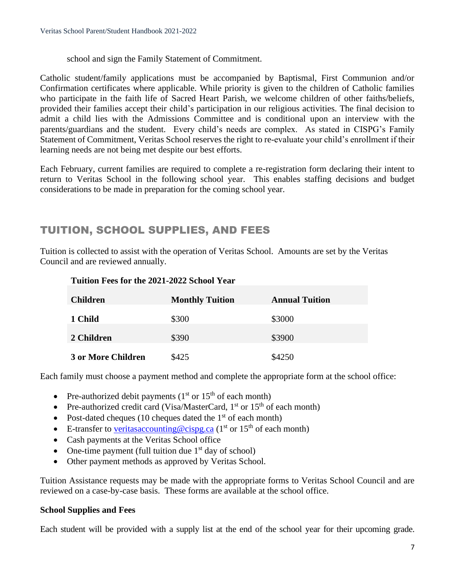school and sign the Family Statement of Commitment.

Catholic student/family applications must be accompanied by Baptismal, First Communion and/or Confirmation certificates where applicable. While priority is given to the children of Catholic families who participate in the faith life of Sacred Heart Parish, we welcome children of other faiths/beliefs, provided their families accept their child's participation in our religious activities. The final decision to admit a child lies with the Admissions Committee and is conditional upon an interview with the parents/guardians and the student. Every child's needs are complex. As stated in CISPG's Family Statement of Commitment, Veritas School reserves the right to re-evaluate your child's enrollment if their learning needs are not being met despite our best efforts.

Each February, current families are required to complete a re-registration form declaring their intent to return to Veritas School in the following school year. This enables staffing decisions and budget considerations to be made in preparation for the coming school year.

# <span id="page-7-0"></span>TUITION, SCHOOL SUPPLIES, AND FEES

Tuition is collected to assist with the operation of Veritas School. Amounts are set by the Veritas Council and are reviewed annually.

| Tuition Fees for the 2021-2022 School Year |  |  |  |  |  |  |
|--------------------------------------------|--|--|--|--|--|--|
|--------------------------------------------|--|--|--|--|--|--|

| <b>Children</b>    | <b>Monthly Tuition</b> | <b>Annual Tuition</b> |
|--------------------|------------------------|-----------------------|
| 1 Child            | \$300                  | \$3000                |
| 2 Children         | \$390                  | \$3900                |
| 3 or More Children | \$425                  | \$4250                |

Each family must choose a payment method and complete the appropriate form at the school office:

- Pre-authorized debit payments  $(1<sup>st</sup>$  or  $15<sup>th</sup>$  of each month)
- Pre-authorized credit card (Visa/MasterCard,  $1<sup>st</sup>$  or  $15<sup>th</sup>$  of each month)
- Post-dated cheques (10 cheques dated the  $1<sup>st</sup>$  of each month)
- E-transfer to [veritasaccounting@cispg.ca](mailto:veritasaccounting@cispg.ca)  $(1<sup>st</sup>$  or  $15<sup>th</sup>$  of each month)
- Cash payments at the Veritas School office
- One-time payment (full tuition due  $1<sup>st</sup>$  day of school)
- Other payment methods as approved by Veritas School.

Tuition Assistance requests may be made with the appropriate forms to Veritas School Council and are reviewed on a case-by-case basis. These forms are available at the school office.

#### **School Supplies and Fees**

Each student will be provided with a supply list at the end of the school year for their upcoming grade.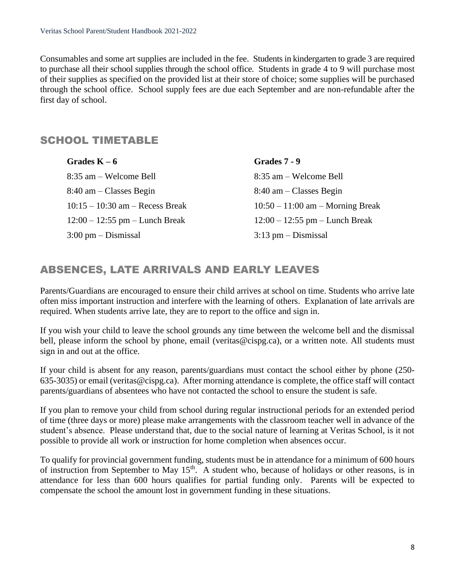Consumables and some art supplies are included in the fee. Students in kindergarten to grade 3 are required to purchase all their school supplies through the school office. Students in grade 4 to 9 will purchase most of their supplies as specified on the provided list at their store of choice; some supplies will be purchased through the school office. School supply fees are due each September and are non-refundable after the first day of school.

# <span id="page-8-0"></span>SCHOOL TIMETABLE

| Grades $K - 6$                       | Grades 7 - 9                       |
|--------------------------------------|------------------------------------|
| 8:35 am – Welcome Bell               | 8:35 am – Welcome Bell             |
| $8:40$ am – Classes Begin            | 8:40 am – Classes Begin            |
| $10:15 - 10:30$ am – Recess Break    | $10:50 - 11:00$ am - Morning Break |
| $12:00 - 12:55$ pm – Lunch Break     | $12:00 - 12:55$ pm – Lunch Break   |
| $3:00 \text{ pm} - \text{Dismissal}$ | $3:13$ pm $-$ Dismissal            |

# <span id="page-8-1"></span>ABSENCES, LATE ARRIVALS AND EARLY LEAVES

Parents/Guardians are encouraged to ensure their child arrives at school on time. Students who arrive late often miss important instruction and interfere with the learning of others. Explanation of late arrivals are required. When students arrive late, they are to report to the office and sign in.

If you wish your child to leave the school grounds any time between the welcome bell and the dismissal bell, please inform the school by phone, email (veritas@cispg.ca), or a written note. All students must sign in and out at the office.

If your child is absent for any reason, parents/guardians must contact the school either by phone (250- 635-3035) or email [\(veritas@cispg.ca\)](mailto:veritas@cispg.ca). After morning attendance is complete, the office staff will contact parents/guardians of absentees who have not contacted the school to ensure the student is safe.

If you plan to remove your child from school during regular instructional periods for an extended period of time (three days or more) please make arrangements with the classroom teacher well in advance of the student's absence. Please understand that, due to the social nature of learning at Veritas School, is it not possible to provide all work or instruction for home completion when absences occur.

To qualify for provincial government funding, students must be in attendance for a minimum of 600 hours of instruction from September to May  $15<sup>th</sup>$ . A student who, because of holidays or other reasons, is in attendance for less than 600 hours qualifies for partial funding only. Parents will be expected to compensate the school the amount lost in government funding in these situations.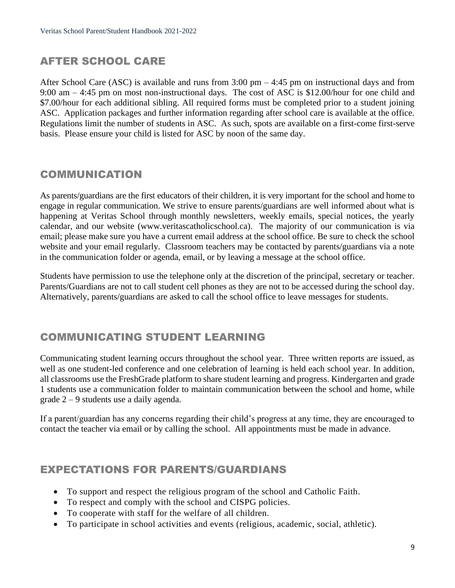# <span id="page-9-0"></span>AFTER SCHOOL CARE

After School Care (ASC) is available and runs from 3:00 pm – 4:45 pm on instructional days and from 9:00 am – 4:45 pm on most non-instructional days. The cost of ASC is \$12.00/hour for one child and \$7.00/hour for each additional sibling. All required forms must be completed prior to a student joining ASC. Application packages and further information regarding after school care is available at the office. Regulations limit the number of students in ASC. As such, spots are available on a first-come first-serve basis. Please ensure your child is listed for ASC by noon of the same day.

# <span id="page-9-1"></span>COMMUNICATION

As parents/guardians are the first educators of their children, it is very important for the school and home to engage in regular communication. We strive to ensure parents/guardians are well informed about what is happening at Veritas School through monthly newsletters, weekly emails, special notices, the yearly calendar, and our website (www.veritascatholicschool.ca). The majority of our communication is via email; please make sure you have a current email address at the school office. Be sure to check the school website and your email regularly. Classroom teachers may be contacted by parents/guardians via a note in the communication folder or agenda, email, or by leaving a message at the school office.

Students have permission to use the telephone only at the discretion of the principal, secretary or teacher. Parents/Guardians are not to call student cell phones as they are not to be accessed during the school day. Alternatively, parents/guardians are asked to call the school office to leave messages for students.

# <span id="page-9-2"></span>COMMUNICATING STUDENT LEARNING

Communicating student learning occurs throughout the school year. Three written reports are issued, as well as one student-led conference and one celebration of learning is held each school year. In addition, all classrooms use the FreshGrade platform to share student learning and progress. Kindergarten and grade 1 students use a communication folder to maintain communication between the school and home, while grade 2 – 9 students use a daily agenda.

If a parent/guardian has any concerns regarding their child's progress at any time, they are encouraged to contact the teacher via email or by calling the school. All appointments must be made in advance.

# <span id="page-9-3"></span>EXPECTATIONS FOR PARENTS/GUARDIANS

- To support and respect the religious program of the school and Catholic Faith.
- To respect and comply with the school and CISPG policies.
- To cooperate with staff for the welfare of all children.
- To participate in school activities and events (religious, academic, social, athletic).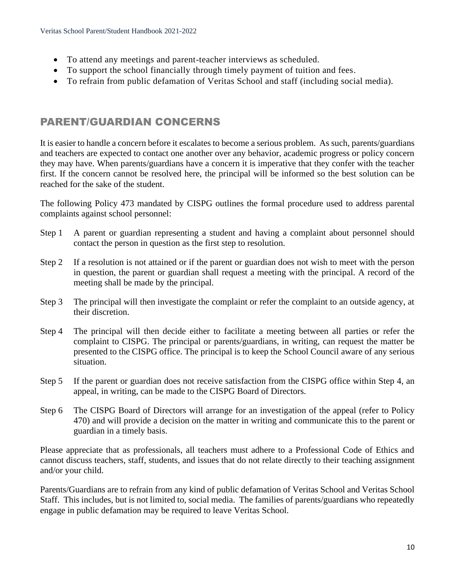- To attend any meetings and parent-teacher interviews as scheduled.
- To support the school financially through timely payment of tuition and fees.
- To refrain from public defamation of Veritas School and staff (including social media).

# <span id="page-10-0"></span>PARENT/GUARDIAN CONCERNS

It is easier to handle a concern before it escalates to become a serious problem. As such, parents/guardians and teachers are expected to contact one another over any behavior, academic progress or policy concern they may have. When parents/guardians have a concern it is imperative that they confer with the teacher first. If the concern cannot be resolved here, the principal will be informed so the best solution can be reached for the sake of the student.

The following Policy 473 mandated by CISPG outlines the formal procedure used to address parental complaints against school personnel:

- Step 1 A parent or guardian representing a student and having a complaint about personnel should contact the person in question as the first step to resolution.
- Step 2 If a resolution is not attained or if the parent or guardian does not wish to meet with the person in question, the parent or guardian shall request a meeting with the principal. A record of the meeting shall be made by the principal.
- Step 3 The principal will then investigate the complaint or refer the complaint to an outside agency, at their discretion.
- Step 4 The principal will then decide either to facilitate a meeting between all parties or refer the complaint to CISPG. The principal or parents/guardians, in writing, can request the matter be presented to the CISPG office. The principal is to keep the School Council aware of any serious situation.
- Step 5 If the parent or guardian does not receive satisfaction from the CISPG office within Step 4, an appeal, in writing, can be made to the CISPG Board of Directors.
- Step 6 The CISPG Board of Directors will arrange for an investigation of the appeal (refer to Policy 470) and will provide a decision on the matter in writing and communicate this to the parent or guardian in a timely basis.

Please appreciate that as professionals, all teachers must adhere to a Professional Code of Ethics and cannot discuss teachers, staff, students, and issues that do not relate directly to their teaching assignment and/or your child.

Parents/Guardians are to refrain from any kind of public defamation of Veritas School and Veritas School Staff. This includes, but is not limited to, social media. The families of parents/guardians who repeatedly engage in public defamation may be required to leave Veritas School.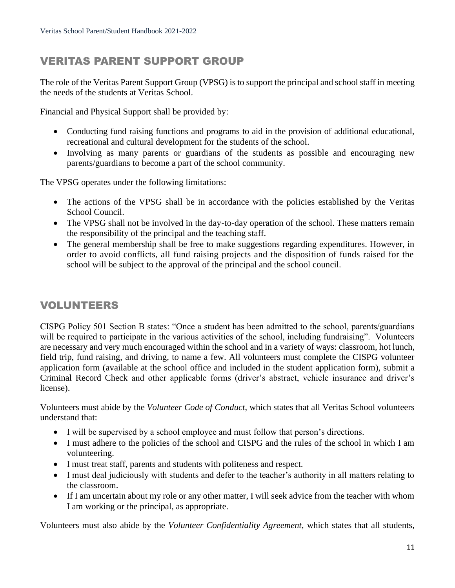# <span id="page-11-0"></span>VERITAS PARENT SUPPORT GROUP

The role of the Veritas Parent Support Group (VPSG) is to support the principal and school staff in meeting the needs of the students at Veritas School.

Financial and Physical Support shall be provided by:

- Conducting fund raising functions and programs to aid in the provision of additional educational, recreational and cultural development for the students of the school.
- Involving as many parents or guardians of the students as possible and encouraging new parents/guardians to become a part of the school community.

The VPSG operates under the following limitations:

- The actions of the VPSG shall be in accordance with the policies established by the Veritas School Council.
- The VPSG shall not be involved in the day-to-day operation of the school. These matters remain the responsibility of the principal and the teaching staff.
- The general membership shall be free to make suggestions regarding expenditures. However, in order to avoid conflicts, all fund raising projects and the disposition of funds raised for the school will be subject to the approval of the principal and the school council.

### <span id="page-11-1"></span>VOLUNTEERS

CISPG Policy 501 Section B states: "Once a student has been admitted to the school, parents/guardians will be required to participate in the various activities of the school, including fundraising". Volunteers are necessary and very much encouraged within the school and in a variety of ways: classroom, hot lunch, field trip, fund raising, and driving, to name a few. All volunteers must complete the CISPG volunteer application form (available at the school office and included in the student application form), submit a Criminal Record Check and other applicable forms (driver's abstract, vehicle insurance and driver's license).

Volunteers must abide by the *Volunteer Code of Conduct*, which states that all Veritas School volunteers understand that:

- I will be supervised by a school employee and must follow that person's directions.
- I must adhere to the policies of the school and CISPG and the rules of the school in which I am volunteering.
- I must treat staff, parents and students with politeness and respect.
- I must deal judiciously with students and defer to the teacher's authority in all matters relating to the classroom.
- If I am uncertain about my role or any other matter, I will seek advice from the teacher with whom I am working or the principal, as appropriate.

Volunteers must also abide by the *Volunteer Confidentiality Agreement*, which states that all students,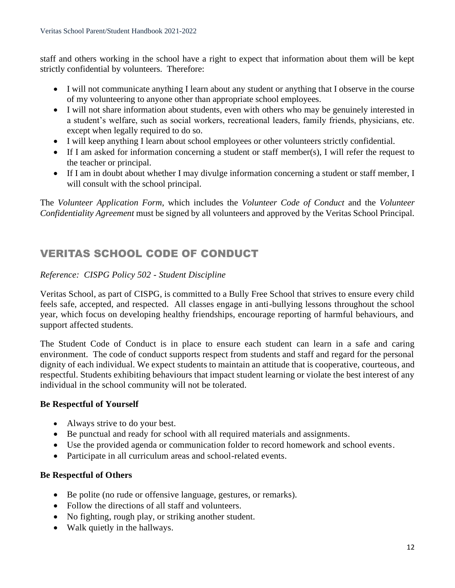staff and others working in the school have a right to expect that information about them will be kept strictly confidential by volunteers. Therefore:

- I will not communicate anything I learn about any student or anything that I observe in the course of my volunteering to anyone other than appropriate school employees.
- I will not share information about students, even with others who may be genuinely interested in a student's welfare, such as social workers, recreational leaders, family friends, physicians, etc. except when legally required to do so.
- I will keep anything I learn about school employees or other volunteers strictly confidential.
- If I am asked for information concerning a student or staff member(s), I will refer the request to the teacher or principal.
- If I am in doubt about whether I may divulge information concerning a student or staff member, I will consult with the school principal.

The *Volunteer Application Form*, which includes the *Volunteer Code of Conduct* and the *Volunteer Confidentiality Agreement* must be signed by all volunteers and approved by the Veritas School Principal.

# <span id="page-12-0"></span>VERITAS SCHOOL CODE OF CONDUCT

#### *Reference: CISPG Policy 502 - Student Discipline*

Veritas School, as part of CISPG, is committed to a Bully Free School that strives to ensure every child feels safe, accepted, and respected. All classes engage in anti-bullying lessons throughout the school year, which focus on developing healthy friendships, encourage reporting of harmful behaviours, and support affected students.

The Student Code of Conduct is in place to ensure each student can learn in a safe and caring environment. The code of conduct supports respect from students and staff and regard for the personal dignity of each individual. We expect students to maintain an attitude that is cooperative, courteous, and respectful. Students exhibiting behaviours that impact student learning or violate the best interest of any individual in the school community will not be tolerated.

#### **Be Respectful of Yourself**

- Always strive to do your best.
- Be punctual and ready for school with all required materials and assignments.
- Use the provided agenda or communication folder to record homework and school events.
- Participate in all curriculum areas and school-related events.

#### **Be Respectful of Others**

- Be polite (no rude or offensive language, gestures, or remarks).
- Follow the directions of all staff and volunteers.
- No fighting, rough play, or striking another student.
- Walk quietly in the hallways.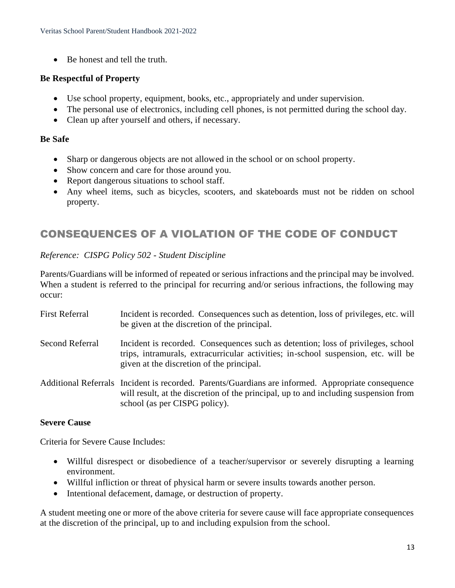• Be honest and tell the truth.

#### **Be Respectful of Property**

- Use school property, equipment, books, etc., appropriately and under supervision.
- The personal use of electronics, including cell phones, is not permitted during the school day.
- Clean up after yourself and others, if necessary.

#### **Be Safe**

- Sharp or dangerous objects are not allowed in the school or on school property.
- Show concern and care for those around you.
- Report dangerous situations to school staff.
- Any wheel items, such as bicycles, scooters, and skateboards must not be ridden on school property.

# <span id="page-13-0"></span>CONSEQUENCES OF A VIOLATION OF THE CODE OF CONDUCT

#### *Reference: CISPG Policy 502 - Student Discipline*

Parents/Guardians will be informed of repeated or serious infractions and the principal may be involved. When a student is referred to the principal for recurring and/or serious infractions, the following may occur:

| <b>First Referral</b>  | Incident is recorded. Consequences such as detention, loss of privileges, etc. will<br>be given at the discretion of the principal.                                                                                         |
|------------------------|-----------------------------------------------------------------------------------------------------------------------------------------------------------------------------------------------------------------------------|
| <b>Second Referral</b> | Incident is recorded. Consequences such as detention; loss of privileges, school<br>trips, intramurals, extracurricular activities; in-school suspension, etc. will be<br>given at the discretion of the principal.         |
|                        | Additional Referrals Incident is recorded. Parents/Guardians are informed. Appropriate consequence<br>will result, at the discretion of the principal, up to and including suspension from<br>school (as per CISPG policy). |

#### **Severe Cause**

Criteria for Severe Cause Includes:

- Willful disrespect or disobedience of a teacher/supervisor or severely disrupting a learning environment.
- Willful infliction or threat of physical harm or severe insults towards another person.
- Intentional defacement, damage, or destruction of property.

A student meeting one or more of the above criteria for severe cause will face appropriate consequences at the discretion of the principal, up to and including expulsion from the school.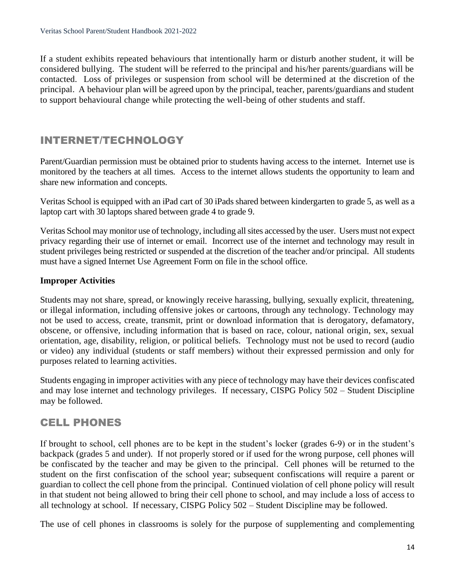If a student exhibits repeated behaviours that intentionally harm or disturb another student, it will be considered bullying. The student will be referred to the principal and his/her parents/guardians will be contacted. Loss of privileges or suspension from school will be determined at the discretion of the principal. A behaviour plan will be agreed upon by the principal, teacher, parents/guardians and student to support behavioural change while protecting the well-being of other students and staff.

# <span id="page-14-0"></span>INTERNET/TECHNOLOGY

Parent/Guardian permission must be obtained prior to students having access to the internet. Internet use is monitored by the teachers at all times. Access to the internet allows students the opportunity to learn and share new information and concepts.

Veritas School is equipped with an iPad cart of 30 iPads shared between kindergarten to grade 5, as well as a laptop cart with 30 laptops shared between grade 4 to grade 9.

Veritas School may monitor use of technology, including all sites accessed by the user. Users must not expect privacy regarding their use of internet or email. Incorrect use of the internet and technology may result in student privileges being restricted or suspended at the discretion of the teacher and/or principal. All students must have a signed Internet Use Agreement Form on file in the school office.

#### **Improper Activities**

Students may not share, spread, or knowingly receive harassing, bullying, sexually explicit, threatening, or illegal information, including offensive jokes or cartoons, through any technology. Technology may not be used to access, create, transmit, print or download information that is derogatory, defamatory, obscene, or offensive, including information that is based on race, colour, national origin, sex, sexual orientation, age, disability, religion, or political beliefs. Technology must not be used to record (audio or video) any individual (students or staff members) without their expressed permission and only for purposes related to learning activities.

Students engaging in improper activities with any piece of technology may have their devices confiscated and may lose internet and technology privileges. If necessary, CISPG Policy 502 – Student Discipline may be followed.

# <span id="page-14-1"></span>CELL PHONES

If brought to school, cell phones are to be kept in the student's locker (grades 6-9) or in the student's backpack (grades 5 and under). If not properly stored or if used for the wrong purpose, cell phones will be confiscated by the teacher and may be given to the principal. Cell phones will be returned to the student on the first confiscation of the school year; subsequent confiscations will require a parent or guardian to collect the cell phone from the principal. Continued violation of cell phone policy will result in that student not being allowed to bring their cell phone to school, and may include a loss of access to all technology at school. If necessary, CISPG Policy 502 – Student Discipline may be followed.

The use of cell phones in classrooms is solely for the purpose of supplementing and complementing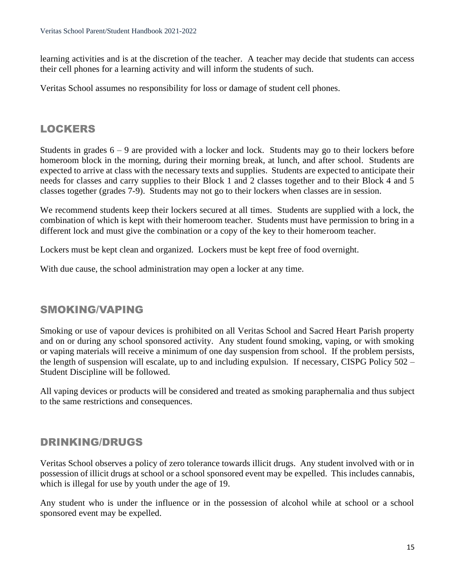learning activities and is at the discretion of the teacher. A teacher may decide that students can access their cell phones for a learning activity and will inform the students of such.

Veritas School assumes no responsibility for loss or damage of student cell phones.

# <span id="page-15-0"></span>LOCKERS

Students in grades  $6 - 9$  are provided with a locker and lock. Students may go to their lockers before homeroom block in the morning, during their morning break, at lunch, and after school. Students are expected to arrive at class with the necessary texts and supplies. Students are expected to anticipate their needs for classes and carry supplies to their Block 1 and 2 classes together and to their Block 4 and 5 classes together (grades 7-9). Students may not go to their lockers when classes are in session.

We recommend students keep their lockers secured at all times. Students are supplied with a lock, the combination of which is kept with their homeroom teacher. Students must have permission to bring in a different lock and must give the combination or a copy of the key to their homeroom teacher.

Lockers must be kept clean and organized. Lockers must be kept free of food overnight.

With due cause, the school administration may open a locker at any time.

# <span id="page-15-1"></span>SMOKING/VAPING

Smoking or use of vapour devices is prohibited on all Veritas School and Sacred Heart Parish property and on or during any school sponsored activity. Any student found smoking, vaping, or with smoking or vaping materials will receive a minimum of one day suspension from school. If the problem persists, the length of suspension will escalate, up to and including expulsion. If necessary, CISPG Policy 502 – Student Discipline will be followed.

All vaping devices or products will be considered and treated as smoking paraphernalia and thus subject to the same restrictions and consequences.

# <span id="page-15-2"></span>DRINKING/DRUGS

Veritas School observes a policy of zero tolerance towards illicit drugs. Any student involved with or in possession of illicit drugs at school or a school sponsored event may be expelled. This includes cannabis, which is illegal for use by youth under the age of 19.

Any student who is under the influence or in the possession of alcohol while at school or a school sponsored event may be expelled.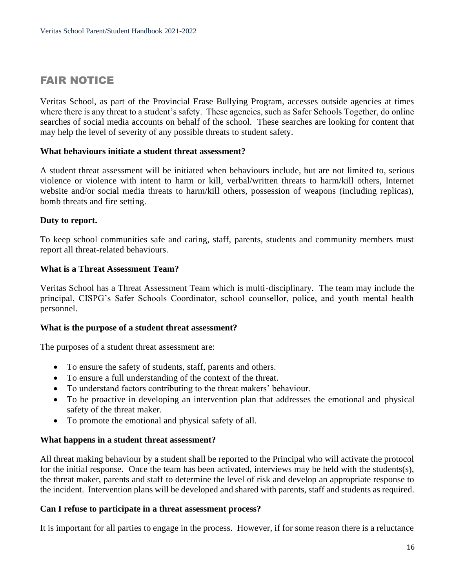# <span id="page-16-0"></span>FAIR NOTICE

Veritas School, as part of the Provincial Erase Bullying Program, accesses outside agencies at times where there is any threat to a student's safety. These agencies, such as Safer Schools Together, do online searches of social media accounts on behalf of the school. These searches are looking for content that may help the level of severity of any possible threats to student safety.

#### **What behaviours initiate a student threat assessment?**

A student threat assessment will be initiated when behaviours include, but are not limited to, serious violence or violence with intent to harm or kill, verbal/written threats to harm/kill others, Internet website and/or social media threats to harm/kill others, possession of weapons (including replicas), bomb threats and fire setting.

#### **Duty to report.**

To keep school communities safe and caring, staff, parents, students and community members must report all threat-related behaviours.

#### **What is a Threat Assessment Team?**

Veritas School has a Threat Assessment Team which is multi-disciplinary. The team may include the principal, CISPG's Safer Schools Coordinator, school counsellor, police, and youth mental health personnel.

#### **What is the purpose of a student threat assessment?**

The purposes of a student threat assessment are:

- To ensure the safety of students, staff, parents and others.
- To ensure a full understanding of the context of the threat.
- To understand factors contributing to the threat makers' behaviour.
- To be proactive in developing an intervention plan that addresses the emotional and physical safety of the threat maker.
- To promote the emotional and physical safety of all.

#### **What happens in a student threat assessment?**

All threat making behaviour by a student shall be reported to the Principal who will activate the protocol for the initial response. Once the team has been activated, interviews may be held with the students(s), the threat maker, parents and staff to determine the level of risk and develop an appropriate response to the incident. Intervention plans will be developed and shared with parents, staff and students as required.

#### **Can I refuse to participate in a threat assessment process?**

It is important for all parties to engage in the process. However, if for some reason there is a reluctance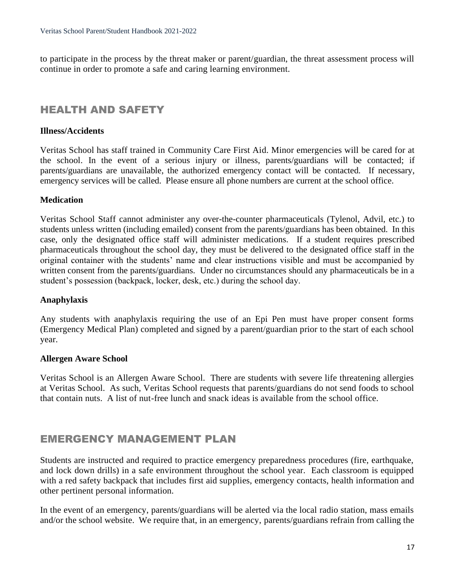to participate in the process by the threat maker or parent/guardian, the threat assessment process will continue in order to promote a safe and caring learning environment.

# <span id="page-17-0"></span>HEALTH AND SAFETY

#### **Illness/Accidents**

Veritas School has staff trained in Community Care First Aid. Minor emergencies will be cared for at the school. In the event of a serious injury or illness, parents/guardians will be contacted; if parents/guardians are unavailable, the authorized emergency contact will be contacted. If necessary, emergency services will be called. Please ensure all phone numbers are current at the school office.

#### **Medication**

Veritas School Staff cannot administer any over-the-counter pharmaceuticals (Tylenol, Advil, etc.) to students unless written (including emailed) consent from the parents/guardians has been obtained. In this case, only the designated office staff will administer medications. If a student requires prescribed pharmaceuticals throughout the school day, they must be delivered to the designated office staff in the original container with the students' name and clear instructions visible and must be accompanied by written consent from the parents/guardians. Under no circumstances should any pharmaceuticals be in a student's possession (backpack, locker, desk, etc.) during the school day.

#### **Anaphylaxis**

Any students with anaphylaxis requiring the use of an Epi Pen must have proper consent forms (Emergency Medical Plan) completed and signed by a parent/guardian prior to the start of each school year.

#### **Allergen Aware School**

Veritas School is an Allergen Aware School. There are students with severe life threatening allergies at Veritas School. As such, Veritas School requests that parents/guardians do not send foods to school that contain nuts. A list of nut-free lunch and snack ideas is available from the school office.

### <span id="page-17-1"></span>EMERGENCY MANAGEMENT PLAN

Students are instructed and required to practice emergency preparedness procedures (fire, earthquake, and lock down drills) in a safe environment throughout the school year. Each classroom is equipped with a red safety backpack that includes first aid supplies, emergency contacts, health information and other pertinent personal information.

In the event of an emergency, parents/guardians will be alerted via the local radio station, mass emails and/or the school website. We require that, in an emergency, parents/guardians refrain from calling the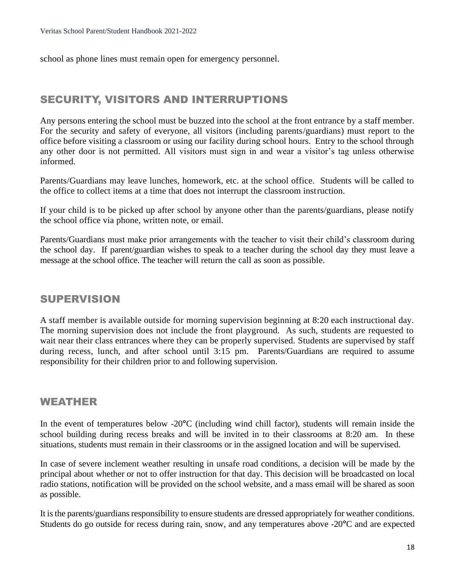school as phone lines must remain open for emergency personnel.

# <span id="page-18-0"></span>SECURITY, VISITORS AND INTERRUPTIONS

Any persons entering the school must be buzzed into the school at the front entrance by a staff member. For the security and safety of everyone, all visitors (including parents/guardians) must report to the office before visiting a classroom or using our facility during school hours. Entry to the school through any other door is not permitted. All visitors must sign in and wear a visitor's tag unless otherwise informed.

Parents/Guardians may leave lunches, homework, etc. at the school office. Students will be called to the office to collect items at a time that does not interrupt the classroom instruction.

If your child is to be picked up after school by anyone other than the parents/guardians, please notify the school office via phone, written note, or email.

Parents/Guardians must make prior arrangements with the teacher to visit their child's classroom during the school day. If parent/guardian wishes to speak to a teacher during the school day they must leave a message at the school office. The teacher will return the call as soon as possible.

### <span id="page-18-1"></span>SUPERVISION

A staff member is available outside for morning supervision beginning at 8:20 each instructional day. The morning supervision does not include the front playground. As such, students are requested to wait near their class entrances where they can be properly supervised. Students are supervised by staff during recess, lunch, and after school until 3:15 pm. Parents/Guardians are required to assume responsibility for their children prior to and following supervision.

#### <span id="page-18-2"></span>WEATHER

In the event of temperatures below -20°C (including wind chill factor), students will remain inside the school building during recess breaks and will be invited in to their classrooms at 8:20 am. In these situations, students must remain in their classrooms or in the assigned location and will be supervised.

In case of severe inclement weather resulting in unsafe road conditions, a decision will be made by the principal about whether or not to offer instruction for that day. This decision will be broadcasted on local radio stations, notification will be provided on the school website, and a mass email will be shared as soon as possible.

It is the parents/guardians responsibility to ensure students are dressed appropriately for weather conditions. Students do go outside for recess during rain, snow, and any temperatures above -20°C and are expected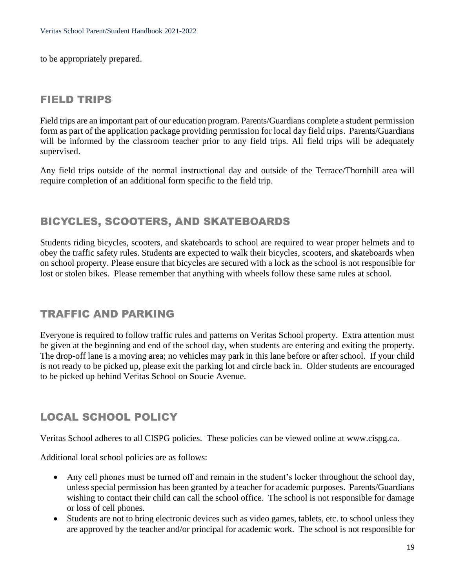to be appropriately prepared.

# <span id="page-19-0"></span>FIELD TRIPS

Field trips are an important part of our education program. Parents/Guardians complete a student permission form as part of the application package providing permission for local day field trips. Parents/Guardians will be informed by the classroom teacher prior to any field trips. All field trips will be adequately supervised.

Any field trips outside of the normal instructional day and outside of the Terrace/Thornhill area will require completion of an additional form specific to the field trip.

# <span id="page-19-1"></span>BICYCLES, SCOOTERS, AND SKATEBOARDS

Students riding bicycles, scooters, and skateboards to school are required to wear proper helmets and to obey the traffic safety rules. Students are expected to walk their bicycles, scooters, and skateboards when on school property. Please ensure that bicycles are secured with a lock as the school is not responsible for lost or stolen bikes. Please remember that anything with wheels follow these same rules at school.

# <span id="page-19-2"></span>TRAFFIC AND PARKING

Everyone is required to follow traffic rules and patterns on Veritas School property. Extra attention must be given at the beginning and end of the school day, when students are entering and exiting the property. The drop-off lane is a moving area; no vehicles may park in this lane before or after school. If your child is not ready to be picked up, please exit the parking lot and circle back in. Older students are encouraged to be picked up behind Veritas School on Soucie Avenue.

# <span id="page-19-3"></span>LOCAL SCHOOL POLICY

Veritas School adheres to all CISPG policies. These policies can be viewed online at [www.cispg.ca.](http://www.cispg.ca/)

Additional local school policies are as follows:

- Any cell phones must be turned off and remain in the student's locker throughout the school day, unless special permission has been granted by a teacher for academic purposes. Parents/Guardians wishing to contact their child can call the school office. The school is not responsible for damage or loss of cell phones.
- Students are not to bring electronic devices such as video games, tablets, etc. to school unless they are approved by the teacher and/or principal for academic work. The school is not responsible for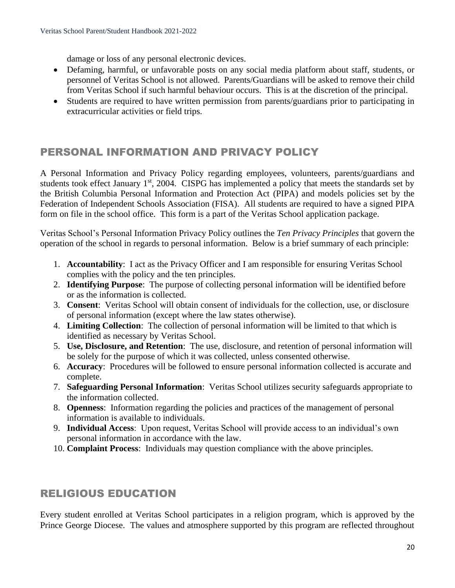damage or loss of any personal electronic devices.

- Defaming, harmful, or unfavorable posts on any social media platform about staff, students, or personnel of Veritas School is not allowed. Parents/Guardians will be asked to remove their child from Veritas School if such harmful behaviour occurs. This is at the discretion of the principal.
- Students are required to have written permission from parents/guardians prior to participating in extracurricular activities or field trips.

# <span id="page-20-0"></span>PERSONAL INFORMATION AND PRIVACY POLICY

A Personal Information and Privacy Policy regarding employees, volunteers, parents/guardians and students took effect January  $1<sup>st</sup>$ , 2004. CISPG has implemented a policy that meets the standards set by the British Columbia Personal Information and Protection Act (PIPA) and models policies set by the Federation of Independent Schools Association (FISA). All students are required to have a signed PIPA form on file in the school office. This form is a part of the Veritas School application package.

Veritas School's Personal Information Privacy Policy outlines the *Ten Privacy Principles* that govern the operation of the school in regards to personal information. Below is a brief summary of each principle:

- 1. **Accountability**: I act as the Privacy Officer and I am responsible for ensuring Veritas School complies with the policy and the ten principles.
- 2. **Identifying Purpose**: The purpose of collecting personal information will be identified before or as the information is collected.
- 3. **Consent**: Veritas School will obtain consent of individuals for the collection, use, or disclosure of personal information (except where the law states otherwise).
- 4. **Limiting Collection**: The collection of personal information will be limited to that which is identified as necessary by Veritas School.
- 5. **Use, Disclosure, and Retention**: The use, disclosure, and retention of personal information will be solely for the purpose of which it was collected, unless consented otherwise.
- 6. **Accuracy**: Procedures will be followed to ensure personal information collected is accurate and complete.
- 7. **Safeguarding Personal Information**: Veritas School utilizes security safeguards appropriate to the information collected.
- 8. **Openness**: Information regarding the policies and practices of the management of personal information is available to individuals.
- 9. **Individual Access**: Upon request, Veritas School will provide access to an individual's own personal information in accordance with the law.
- 10. **Complaint Process**: Individuals may question compliance with the above principles.

# <span id="page-20-1"></span>RELIGIOUS EDUCATION

Every student enrolled at Veritas School participates in a religion program, which is approved by the Prince George Diocese. The values and atmosphere supported by this program are reflected throughout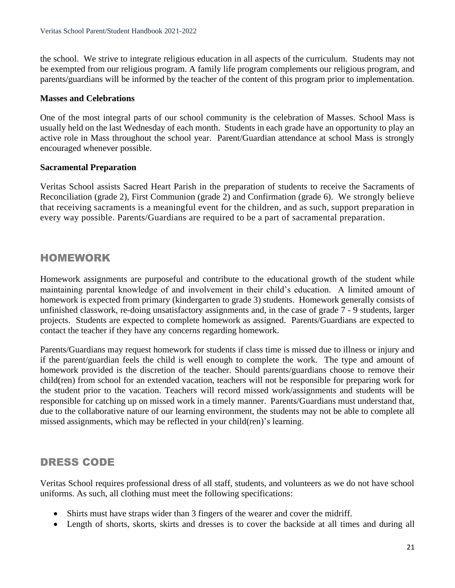the school. We strive to integrate religious education in all aspects of the curriculum. Students may not be exempted from our religious program. A family life program complements our religious program, and parents/guardians will be informed by the teacher of the content of this program prior to implementation.

#### **Masses and Celebrations**

One of the most integral parts of our school community is the celebration of Masses. School Mass is usually held on the last Wednesday of each month. Students in each grade have an opportunity to play an active role in Mass throughout the school year. Parent/Guardian attendance at school Mass is strongly encouraged whenever possible.

#### **Sacramental Preparation**

Veritas School assists Sacred Heart Parish in the preparation of students to receive the Sacraments of Reconciliation (grade 2), First Communion (grade 2) and Confirmation (grade 6).We strongly believe that receiving sacraments is a meaningful event for the children, and as such, support preparation in every way possible. Parents/Guardians are required to be a part of sacramental preparation.

### <span id="page-21-0"></span>HOMEWORK

Homework assignments are purposeful and contribute to the educational growth of the student while maintaining parental knowledge of and involvement in their child's education. A limited amount of homework is expected from primary (kindergarten to grade 3) students. Homework generally consists of unfinished classwork, re-doing unsatisfactory assignments and, in the case of grade 7 - 9 students, larger projects. Students are expected to complete homework as assigned. Parents/Guardians are expected to contact the teacher if they have any concerns regarding homework.

Parents/Guardians may request homework for students if class time is missed due to illness or injury and if the parent/guardian feels the child is well enough to complete the work. The type and amount of homework provided is the discretion of the teacher. Should parents/guardians choose to remove their child(ren) from school for an extended vacation, teachers will not be responsible for preparing work for the student prior to the vacation. Teachers will record missed work/assignments and students will be responsible for catching up on missed work in a timely manner. Parents/Guardians must understand that, due to the collaborative nature of our learning environment, the students may not be able to complete all missed assignments, which may be reflected in your child(ren)'s learning.

# <span id="page-21-1"></span>DRESS CODE

Veritas School requires professional dress of all staff, students, and volunteers as we do not have school uniforms. As such, all clothing must meet the following specifications:

- Shirts must have straps wider than 3 fingers of the wearer and cover the midriff.
- Length of shorts, skorts, skirts and dresses is to cover the backside at all times and during all